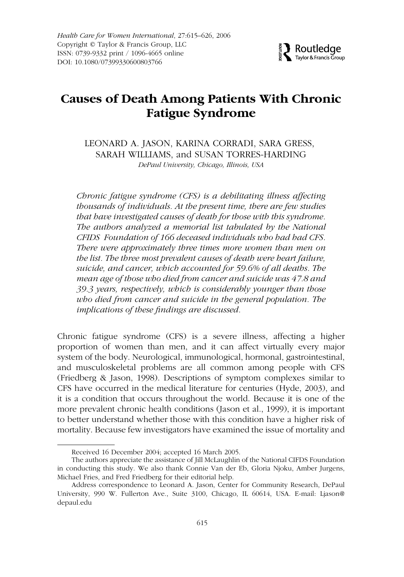# **Causes of Death Among Patients With Chronic Fatigue Syndrome**

LEONARD A. JASON, KARINA CORRADI, SARA GRESS, SARAH WILLIAMS, and SUSAN TORRES-HARDING *DePaul University, Chicago, Illinois, USA*

*Chronic fatigue syndrome (CFS) is a debilitating illness affecting thousands of individuals. At the present time, there are few studies that have investigated causes of death for those with this syndrome. The authors analyzed a memorial list tabulated by the National CFIDS Foundation of 166 deceased individuals who had had CFS. There were approximately three times more women than men on the list. The three most prevalent causes of death were heart failure, suicide, and cancer, which accounted for 59.6% of all deaths. The mean age of those who died from cancer and suicide was 47.8 and 39.3 years, respectively, which is considerably younger than those who died from cancer and suicide in the general population. The implications of these findings are discussed.*

Chronic fatigue syndrome (CFS) is a severe illness, affecting a higher proportion of women than men, and it can affect virtually every major system of the body. Neurological, immunological, hormonal, gastrointestinal, and musculoskeletal problems are all common among people with CFS (Friedberg & Jason, 1998). Descriptions of symptom complexes similar to CFS have occurred in the medical literature for centuries (Hyde, 2003), and it is a condition that occurs throughout the world. Because it is one of the more prevalent chronic health conditions (Jason et al., 1999), it is important to better understand whether those with this condition have a higher risk of mortality. Because few investigators have examined the issue of mortality and

Received 16 December 2004; accepted 16 March 2005.

The authors appreciate the assistance of Jill McLaughlin of the National CIFDS Foundation in conducting this study. We also thank Connie Van der Eb, Gloria Njoku, Amber Jurgens, Michael Fries, and Fred Friedberg for their editorial help.

Address correspondence to Leonard A. Jason, Center for Community Research, DePaul University, 990 W. Fullerton Ave., Suite 3100, Chicago, IL 60614, USA. E-mail: Ljason@ depaul.edu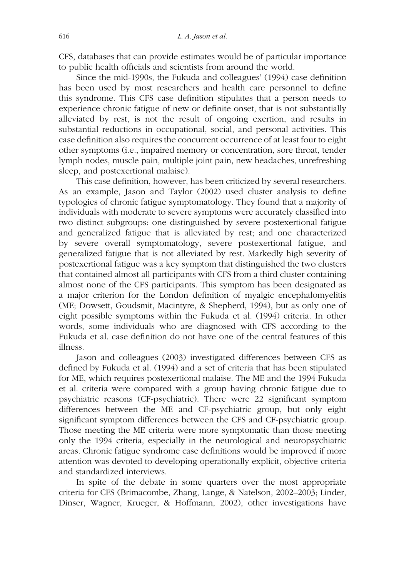CFS, databases that can provide estimates would be of particular importance to public health officials and scientists from around the world.

Since the mid-1990s, the Fukuda and colleagues' (1994) case definition has been used by most researchers and health care personnel to define this syndrome. This CFS case definition stipulates that a person needs to experience chronic fatigue of new or definite onset, that is not substantially alleviated by rest, is not the result of ongoing exertion, and results in substantial reductions in occupational, social, and personal activities. This case definition also requires the concurrent occurrence of at least four to eight other symptoms (i.e., impaired memory or concentration, sore throat, tender lymph nodes, muscle pain, multiple joint pain, new headaches, unrefreshing sleep, and postexertional malaise).

This case definition, however, has been criticized by several researchers. As an example, Jason and Taylor (2002) used cluster analysis to define typologies of chronic fatigue symptomatology. They found that a majority of individuals with moderate to severe symptoms were accurately classified into two distinct subgroups: one distinguished by severe postexertional fatigue and generalized fatigue that is alleviated by rest; and one characterized by severe overall symptomatology, severe postexertional fatigue, and generalized fatigue that is not alleviated by rest. Markedly high severity of postexertional fatigue was a key symptom that distinguished the two clusters that contained almost all participants with CFS from a third cluster containing almost none of the CFS participants. This symptom has been designated as a major criterion for the London definition of myalgic encephalomyelitis (ME; Dowsett, Goudsmit, Macintyre, & Shepherd, 1994), but as only one of eight possible symptoms within the Fukuda et al. (1994) criteria. In other words, some individuals who are diagnosed with CFS according to the Fukuda et al. case definition do not have one of the central features of this illness.

Jason and colleagues (2003) investigated differences between CFS as defined by Fukuda et al. (1994) and a set of criteria that has been stipulated for ME, which requires postexertional malaise. The ME and the 1994 Fukuda et al. criteria were compared with a group having chronic fatigue due to psychiatric reasons (CF-psychiatric). There were 22 significant symptom differences between the ME and CF-psychiatric group, but only eight significant symptom differences between the CFS and CF-psychiatric group. Those meeting the ME criteria were more symptomatic than those meeting only the 1994 criteria, especially in the neurological and neuropsychiatric areas. Chronic fatigue syndrome case definitions would be improved if more attention was devoted to developing operationally explicit, objective criteria and standardized interviews.

In spite of the debate in some quarters over the most appropriate criteria for CFS (Brimacombe, Zhang, Lange, & Natelson, 2002–2003; Linder, Dinser, Wagner, Krueger, & Hoffmann, 2002), other investigations have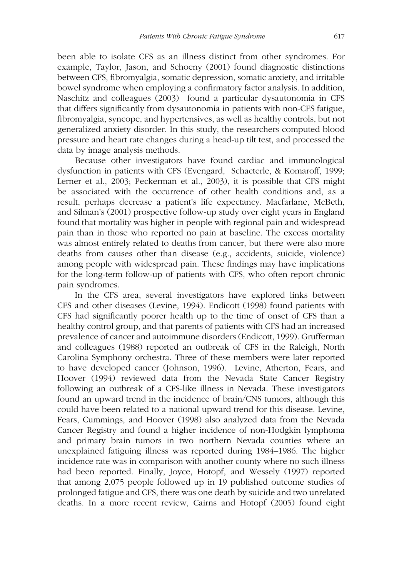been able to isolate CFS as an illness distinct from other syndromes. For example, Taylor, Jason, and Schoeny (2001) found diagnostic distinctions between CFS, fibromyalgia, somatic depression, somatic anxiety, and irritable bowel syndrome when employing a confirmatory factor analysis. In addition, Naschitz and colleagues (2003) found a particular dysautonomia in CFS that differs significantly from dysautonomia in patients with non-CFS fatigue, fibromyalgia, syncope, and hypertensives, as well as healthy controls, but not generalized anxiety disorder. In this study, the researchers computed blood pressure and heart rate changes during a head-up tilt test, and processed the data by image analysis methods.

Because other investigators have found cardiac and immunological dysfunction in patients with CFS (Evengard, Schacterle, & Komaroff, 1999; Lerner et al., 2003; Peckerman et al., 2003), it is possible that CFS might be associated with the occurrence of other health conditions and, as a result, perhaps decrease a patient's life expectancy. Macfarlane, McBeth, and Silman's (2001) prospective follow-up study over eight years in England found that mortality was higher in people with regional pain and widespread pain than in those who reported no pain at baseline. The excess mortality was almost entirely related to deaths from cancer, but there were also more deaths from causes other than disease (e.g., accidents, suicide, violence) among people with widespread pain. These findings may have implications for the long-term follow-up of patients with CFS, who often report chronic pain syndromes.

In the CFS area, several investigators have explored links between CFS and other diseases (Levine, 1994). Endicott (1998) found patients with CFS had significantly poorer health up to the time of onset of CFS than a healthy control group, and that parents of patients with CFS had an increased prevalence of cancer and autoimmune disorders (Endicott, 1999). Grufferman and colleagues (1988) reported an outbreak of CFS in the Raleigh, North Carolina Symphony orchestra. Three of these members were later reported to have developed cancer (Johnson, 1996). Levine, Atherton, Fears, and Hoover (1994) reviewed data from the Nevada State Cancer Registry following an outbreak of a CFS-like illness in Nevada. These investigators found an upward trend in the incidence of brain/CNS tumors, although this could have been related to a national upward trend for this disease. Levine, Fears, Cummings, and Hoover (1998) also analyzed data from the Nevada Cancer Registry and found a higher incidence of non-Hodgkin lymphoma and primary brain tumors in two northern Nevada counties where an unexplained fatiguing illness was reported during 1984–1986. The higher incidence rate was in comparison with another county where no such illness had been reported. Finally, Joyce, Hotopf, and Wessely (1997) reported that among 2,075 people followed up in 19 published outcome studies of prolonged fatigue and CFS, there was one death by suicide and two unrelated deaths. In a more recent review, Cairns and Hotopf (2005) found eight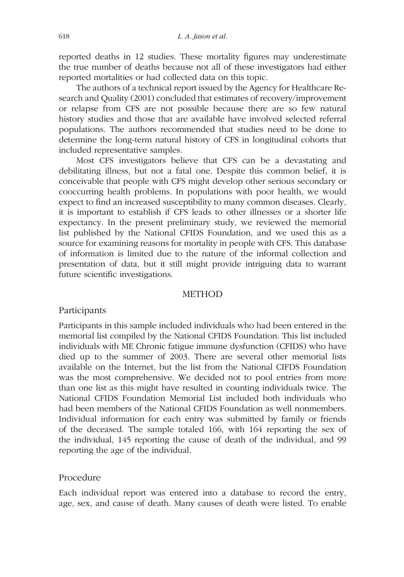reported deaths in 12 studies. These mortality figures may underestimate the true number of deaths because not all of these investigators had either reported mortalities or had collected data on this topic.

The authors of a technical report issued by the Agency for Healthcare Research and Quality (2001) concluded that estimates of recovery/improvement or relapse from CFS are not possible because there are so few natural history studies and those that are available have involved selected referral populations. The authors recommended that studies need to be done to determine the long-term natural history of CFS in longitudinal cohorts that included representative samples.

Most CFS investigators believe that CFS can be a devastating and debilitating illness, but not a fatal one. Despite this common belief, it is conceivable that people with CFS might develop other serious secondary or cooccurring health problems. In populations with poor health, we would expect to find an increased susceptibility to many common diseases. Clearly, it is important to establish if CFS leads to other illnesses or a shorter life expectancy. In the present preliminary study, we reviewed the memorial list published by the National CFIDS Foundation, and we used this as a source for examining reasons for mortality in people with CFS. This database of information is limited due to the nature of the informal collection and presentation of data, but it still might provide intriguing data to warrant future scientific investigations.

## METHOD

### Participants

Participants in this sample included individuals who had been entered in the memorial list compiled by the National CFIDS Foundation. This list included individuals with ME Chronic fatigue immune dysfunction (CFIDS) who have died up to the summer of 2003. There are several other memorial lists available on the Internet, but the list from the National CIFDS Foundation was the most comprehensive. We decided not to pool entries from more than one list as this might have resulted in counting individuals twice. The National CFIDS Foundation Memorial List included both individuals who had been members of the National CFIDS Foundation as well nonmembers. Individual information for each entry was submitted by family or friends of the deceased. The sample totaled 166, with 164 reporting the sex of the individual, 145 reporting the cause of death of the individual, and 99 reporting the age of the individual.

### Procedure

Each individual report was entered into a database to record the entry, age, sex, and cause of death. Many causes of death were listed. To enable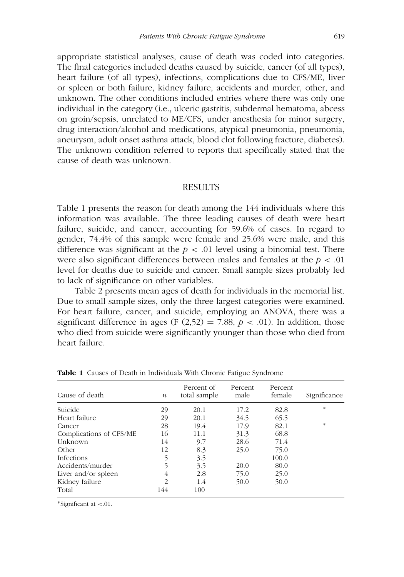appropriate statistical analyses, cause of death was coded into categories. The final categories included deaths caused by suicide, cancer (of all types), heart failure (of all types), infections, complications due to CFS/ME, liver or spleen or both failure, kidney failure, accidents and murder, other, and unknown. The other conditions included entries where there was only one individual in the category (i.e., ulceric gastritis, subdermal hematoma, abcess on groin/sepsis, unrelated to ME/CFS, under anesthesia for minor surgery, drug interaction/alcohol and medications, atypical pneumonia, pneumonia, aneurysm, adult onset asthma attack, blood clot following fracture, diabetes). The unknown condition referred to reports that specifically stated that the cause of death was unknown.

### RESULTS

Table 1 presents the reason for death among the 144 individuals where this information was available. The three leading causes of death were heart failure, suicide, and cancer, accounting for 59.6% of cases. In regard to gender, 74.4% of this sample were female and 25.6% were male, and this difference was significant at the  $p < 0.01$  level using a binomial test. There were also significant differences between males and females at the *p* < .01 level for deaths due to suicide and cancer. Small sample sizes probably led to lack of significance on other variables.

Table 2 presents mean ages of death for individuals in the memorial list. Due to small sample sizes, only the three largest categories were examined. For heart failure, cancer, and suicide, employing an ANOVA, there was a significant difference in ages (F  $(2,52) = 7.88$ ,  $p < .01$ ). In addition, those who died from suicide were significantly younger than those who died from heart failure.

| Cause of death          | $\boldsymbol{n}$ | Percent of<br>total sample | Percent<br>male | Percent<br>female | Significance |
|-------------------------|------------------|----------------------------|-----------------|-------------------|--------------|
| Suicide                 | 29               | 20.1                       | 17.2            | 82.8              | $\ast$       |
| Heart failure           | 29               | 20.1                       | 34.5            | 65.5              |              |
| Cancer                  | 28               | 19.4                       | 17.9            | 82.1              | $\ast$       |
| Complications of CFS/ME | 16               | 11.1                       | 31.3            | 68.8              |              |
| Unknown                 | 14               | 9.7                        | 28.6            | 71.4              |              |
| Other                   | 12               | 8.3                        | 25.0            | 75.0              |              |
| <b>Infections</b>       | 5                | 3.5                        |                 | 100.0             |              |
| Accidents/murder        | 5                | 3.5                        | 20.0            | 80.0              |              |
| Liver and/or spleen     | 4                | 2.8                        | 75.0            | 25.0              |              |
| Kidney failure          | $\overline{2}$   | 1.4                        | 50.0            | 50.0              |              |
| Total                   | 144              | 100                        |                 |                   |              |

**Table 1** Causes of Death in Individuals With Chronic Fatigue Syndrome

∗Significant at <.01.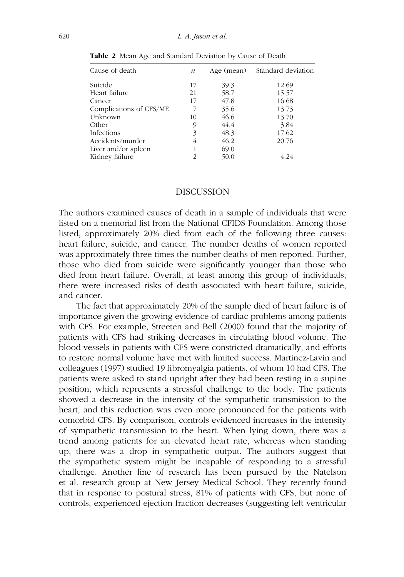| Cause of death          | $\boldsymbol{n}$ | Age (mean) | Standard deviation |
|-------------------------|------------------|------------|--------------------|
| Suicide                 | 17               | 39.3       | 12.69              |
| Heart failure           | 21               | 58.7       | 15.57              |
| Cancer                  | 17               | 47.8       | 16.68              |
| Complications of CFS/ME |                  | 35.6       | 13.73              |
| Unknown                 | 10               | 46.6       | 13.70              |
| Other                   | 9                | 44.4       | 3.84               |
| Infections              | 3                | 48.3       | 17.62              |
| Accidents/murder        | 4                | 46.2       | 20.76              |
| Liver and/or spleen     |                  | 69.0       |                    |
| Kidney failure          | 2                | 50.0       | 4 2.4              |

**Table 2** Mean Age and Standard Deviation by Cause of Death

#### DISCUSSION

The authors examined causes of death in a sample of individuals that were listed on a memorial list from the National CFIDS Foundation. Among those listed, approximately 20% died from each of the following three causes: heart failure, suicide, and cancer. The number deaths of women reported was approximately three times the number deaths of men reported. Further, those who died from suicide were significantly younger than those who died from heart failure. Overall, at least among this group of individuals, there were increased risks of death associated with heart failure, suicide, and cancer.

The fact that approximately 20% of the sample died of heart failure is of importance given the growing evidence of cardiac problems among patients with CFS. For example, Streeten and Bell (2000) found that the majority of patients with CFS had striking decreases in circulating blood volume. The blood vessels in patients with CFS were constricted dramatically, and efforts to restore normal volume have met with limited success. Martinez-Lavin and colleagues (1997) studied 19 fibromyalgia patients, of whom 10 had CFS. The patients were asked to stand upright after they had been resting in a supine position, which represents a stressful challenge to the body. The patients showed a decrease in the intensity of the sympathetic transmission to the heart, and this reduction was even more pronounced for the patients with comorbid CFS. By comparison, controls evidenced increases in the intensity of sympathetic transmission to the heart. When lying down, there was a trend among patients for an elevated heart rate, whereas when standing up, there was a drop in sympathetic output. The authors suggest that the sympathetic system might be incapable of responding to a stressful challenge. Another line of research has been pursued by the Natelson et al. research group at New Jersey Medical School. They recently found that in response to postural stress, 81% of patients with CFS, but none of controls, experienced ejection fraction decreases (suggesting left ventricular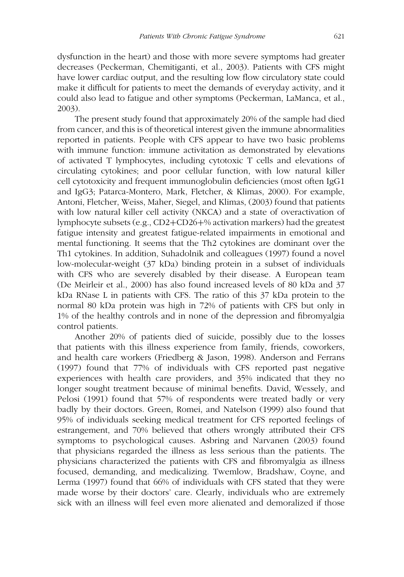dysfunction in the heart) and those with more severe symptoms had greater decreases (Peckerman, Chemitiganti, et al., 2003). Patients with CFS might have lower cardiac output, and the resulting low flow circulatory state could make it difficult for patients to meet the demands of everyday activity, and it could also lead to fatigue and other symptoms (Peckerman, LaManca, et al., 2003).

The present study found that approximately 20% of the sample had died from cancer, and this is of theoretical interest given the immune abnormalities reported in patients. People with CFS appear to have two basic problems with immune function: immune activitation as demonstrated by elevations of activated T lymphocytes, including cytotoxic T cells and elevations of circulating cytokines; and poor cellular function, with low natural killer cell cytotoxicity and frequent immunoglobulin deficiencies (most often IgG1 and IgG3; Patarca-Montero, Mark, Fletcher, & Klimas, 2000). For example, Antoni, Fletcher, Weiss, Maher, Siegel, and Klimas, (2003) found that patients with low natural killer cell activity (NKCA) and a state of overactivation of lymphocyte subsets (e.g., CD2+CD26+% activation markers) had the greatest fatigue intensity and greatest fatigue-related impairments in emotional and mental functioning. It seems that the Th2 cytokines are dominant over the Th1 cytokines. In addition, Suhadolnik and colleagues (1997) found a novel low-molecular-weight (37 kDa) binding protein in a subset of individuals with CFS who are severely disabled by their disease. A European team (De Meirleir et al., 2000) has also found increased levels of 80 kDa and 37 kDa RNase L in patients with CFS. The ratio of this 37 kDa protein to the normal 80 kDa protein was high in 72% of patients with CFS but only in 1% of the healthy controls and in none of the depression and fibromyalgia control patients.

Another 20% of patients died of suicide, possibly due to the losses that patients with this illness experience from family, friends, coworkers, and health care workers (Friedberg & Jason, 1998). Anderson and Ferrans (1997) found that 77% of individuals with CFS reported past negative experiences with health care providers, and 35% indicated that they no longer sought treatment because of minimal benefits. David, Wessely, and Pelosi (1991) found that 57% of respondents were treated badly or very badly by their doctors. Green, Romei, and Natelson (1999) also found that 95% of individuals seeking medical treatment for CFS reported feelings of estrangement, and 70% believed that others wrongly attributed their CFS symptoms to psychological causes. Asbring and Narvanen (2003) found that physicians regarded the illness as less serious than the patients. The physicians characterized the patients with CFS and fibromyalgia as illness focused, demanding, and medicalizing. Twemlow, Bradshaw, Coyne, and Lerma (1997) found that 66% of individuals with CFS stated that they were made worse by their doctors' care. Clearly, individuals who are extremely sick with an illness will feel even more alienated and demoralized if those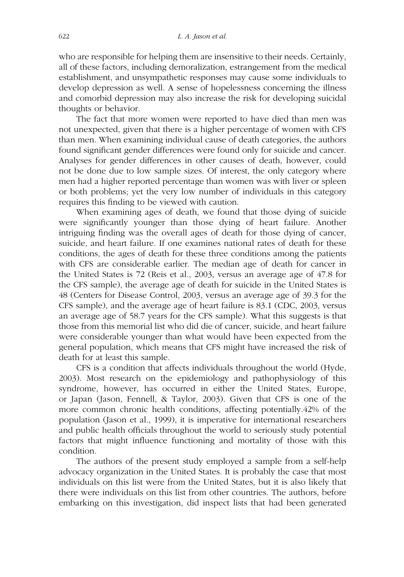who are responsible for helping them are insensitive to their needs. Certainly, all of these factors, including demoralization, estrangement from the medical establishment, and unsympathetic responses may cause some individuals to develop depression as well. A sense of hopelessness concerning the illness and comorbid depression may also increase the risk for developing suicidal thoughts or behavior.

The fact that more women were reported to have died than men was not unexpected, given that there is a higher percentage of women with CFS than men. When examining individual cause of death categories, the authors found significant gender differences were found only for suicide and cancer. Analyses for gender differences in other causes of death, however, could not be done due to low sample sizes. Of interest, the only category where men had a higher reported percentage than women was with liver or spleen or both problems; yet the very low number of individuals in this category requires this finding to be viewed with caution.

When examining ages of death, we found that those dying of suicide were significantly younger than those dying of heart failure. Another intriguing finding was the overall ages of death for those dying of cancer, suicide, and heart failure. If one examines national rates of death for these conditions, the ages of death for these three conditions among the patients with CFS are considerable earlier. The median age of death for cancer in the United States is 72 (Reis et al., 2003, versus an average age of 47.8 for the CFS sample), the average age of death for suicide in the United States is 48 (Centers for Disease Control, 2003, versus an average age of 39.3 for the CFS sample), and the average age of heart failure is 83.1 (CDC, 2003, versus an average age of 58.7 years for the CFS sample). What this suggests is that those from this memorial list who did die of cancer, suicide, and heart failure were considerable younger than what would have been expected from the general population, which means that CFS might have increased the risk of death for at least this sample.

CFS is a condition that affects individuals throughout the world (Hyde, 2003). Most research on the epidemiology and pathophysiology of this syndrome, however, has occurred in either the United States, Europe, or Japan (Jason, Fennell, & Taylor, 2003). Given that CFS is one of the more common chronic health conditions, affecting potentially.42% of the population (Jason et al., 1999), it is imperative for international researchers and public health officials throughout the world to seriously study potential factors that might influence functioning and mortality of those with this condition.

The authors of the present study employed a sample from a self-help advocacy organization in the United States. It is probably the case that most individuals on this list were from the United States, but it is also likely that there were individuals on this list from other countries. The authors, before embarking on this investigation, did inspect lists that had been generated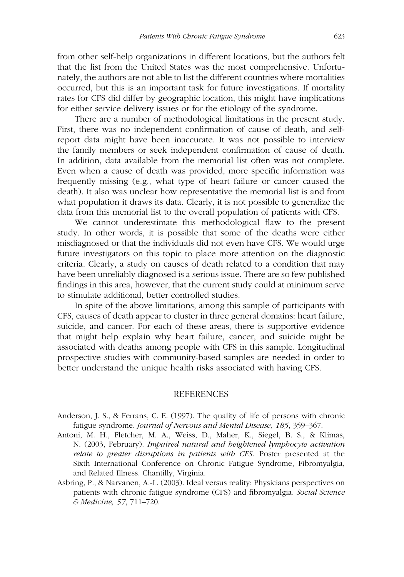from other self-help organizations in different locations, but the authors felt that the list from the United States was the most comprehensive. Unfortunately, the authors are not able to list the different countries where mortalities occurred, but this is an important task for future investigations. If mortality rates for CFS did differ by geographic location, this might have implications for either service delivery issues or for the etiology of the syndrome.

There are a number of methodological limitations in the present study. First, there was no independent confirmation of cause of death, and selfreport data might have been inaccurate. It was not possible to interview the family members or seek independent confirmation of cause of death. In addition, data available from the memorial list often was not complete. Even when a cause of death was provided, more specific information was frequently missing (e.g., what type of heart failure or cancer caused the death). It also was unclear how representative the memorial list is and from what population it draws its data. Clearly, it is not possible to generalize the data from this memorial list to the overall population of patients with CFS.

We cannot underestimate this methodological flaw to the present study. In other words, it is possible that some of the deaths were either misdiagnosed or that the individuals did not even have CFS. We would urge future investigators on this topic to place more attention on the diagnostic criteria. Clearly, a study on causes of death related to a condition that may have been unreliably diagnosed is a serious issue. There are so few published findings in this area, however, that the current study could at minimum serve to stimulate additional, better controlled studies.

In spite of the above limitations, among this sample of participants with CFS, causes of death appear to cluster in three general domains: heart failure, suicide, and cancer. For each of these areas, there is supportive evidence that might help explain why heart failure, cancer, and suicide might be associated with deaths among people with CFS in this sample. Longitudinal prospective studies with community-based samples are needed in order to better understand the unique health risks associated with having CFS.

#### **REFERENCES**

- Anderson, J. S., & Ferrans, C. E. (1997). The quality of life of persons with chronic fatigue syndrome. *Journal of Nervous and Mental Disease, 185*, 359–367.
- Antoni, M. H., Fletcher, M. A., Weiss, D., Maher, K., Siegel, B. S., & Klimas, N. (2003, February). *Impaired natural and heightened lymphocyte activation relate to greater disruptions in patients with CFS*. Poster presented at the Sixth International Conference on Chronic Fatigue Syndrome, Fibromyalgia, and Related Illness. Chantilly, Virginia.
- Asbring, P., & Narvanen, A.-L. (2003). Ideal versus reality: Physicians perspectives on patients with chronic fatigue syndrome (CFS) and fibromyalgia. *Social Science & Medicine, 57*, 711–720.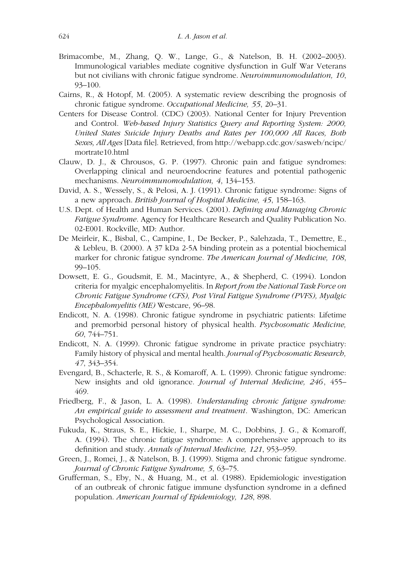- Brimacombe, M., Zhang, Q. W., Lange, G., & Natelson, B. H. (2002–2003). Immunological variables mediate cognitive dysfunction in Gulf War Veterans but not civilians with chronic fatigue syndrome. *Neuroimmunomodulation, 10*, 93–100.
- Cairns, R., & Hotopf, M. (2005). A systematic review describing the prognosis of chronic fatigue syndrome. *Occupational Medicine, 55*, 20–31.
- Centers for Disease Control. (CDC) (2003). National Center for Injury Prevention and Control. *Web-based Injury Statistics Query and Reporting System: 2000, United States Suicide Injury Deaths and Rates per 100,000 All Races, Both Sexes, All Ages* [Data file]. Retrieved, from http://webapp.cdc.gov/sasweb/ncipc/ mortrate10.html
- Clauw, D. J., & Chrousos, G. P. (1997). Chronic pain and fatigue syndromes: Overlapping clinical and neuroendocrine features and potential pathogenic mechanisms. *Neuroimmunomodulation, 4*, 134–153.
- David, A. S., Wessely, S., & Pelosi, A. J. (1991). Chronic fatigue syndrome: Signs of a new approach. *British Journal of Hospital Medicine, 45*, 158–163.
- U.S. Dept. of Health and Human Services. (2001). *Defining and Managing Chronic Fatigue Syndrome*. Agency for Healthcare Research and Quality Publication No. 02-E001. Rockville, MD: Author.
- De Meirleir, K., Bisbal, C., Campine, I., De Becker, P., Salehzada, T., Demettre, E., & Lebleu, B. (2000). A 37 kDa 2-5A binding protein as a potential biochemical marker for chronic fatigue syndrome. *The American Journal of Medicine, 108*, 99–105.
- Dowsett, E. G., Goudsmit, E. M., Macintyre, A., & Shepherd, C. (1994). London criteria for myalgic encephalomyelitis. In *Report from the National Task Force on Chronic Fatigue Syndrome (CFS), Post Viral Fatigue Syndrome (PVFS), Myalgic Encephalomyelitis (ME)* Westcare, 96–98.
- Endicott, N. A. (1998). Chronic fatigue syndrome in psychiatric patients: Lifetime and premorbid personal history of physical health. *Psychosomatic Medicine, 60*, 744–751.
- Endicott, N. A. (1999). Chronic fatigue syndrome in private practice psychiatry: Family history of physical and mental health. *Journal of Psychosomatic Research, 47*, 343–354.
- Evengard, B., Schacterle, R. S., & Komaroff, A. L. (1999). Chronic fatigue syndrome: New insights and old ignorance. *Journal of Internal Medicine, 246*, 455– 469.
- Friedberg, F., & Jason, L. A. (1998). *Understanding chronic fatigue syndrome: An empirical guide to assessment and treatment*. Washington, DC: American Psychological Association.
- Fukuda, K., Straus, S. E., Hickie, I., Sharpe, M. C., Dobbins, J. G., & Komaroff, A. (1994). The chronic fatigue syndrome: A comprehensive approach to its definition and study. *Annals of Internal Medicine, 121*, 953–959.
- Green, J., Romei, J., & Natelson, B. J. (1999). Stigma and chronic fatigue syndrome. *Journal of Chronic Fatigue Syndrome, 5*, 63–75.
- Grufferman, S., Eby, N., & Huang, M., et al. (1988). Epidemiologic investigation of an outbreak of chronic fatigue immune dysfunction syndrome in a defined population. *American Journal of Epidemiology, 128*, 898.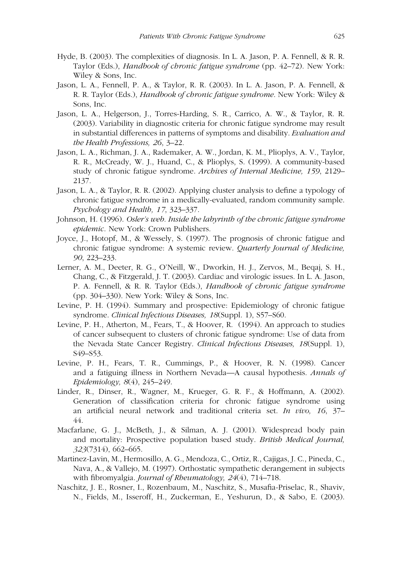- Hyde, B. (2003). The complexities of diagnosis. In L. A. Jason, P. A. Fennell, & R. R. Taylor (Eds.), *Handbook of chronic fatigue syndrome* (pp. 42–72). New York: Wiley & Sons, Inc.
- Jason, L. A., Fennell, P. A., & Taylor, R. R. (2003). In L. A. Jason, P. A. Fennell, & R. R. Taylor (Eds.), *Handbook of chronic fatigue syndrome*. New York: Wiley & Sons, Inc.
- Jason, L. A., Helgerson, J., Torres-Harding, S. R., Carrico, A. W., & Taylor, R. R. (2003). Variability in diagnostic criteria for chronic fatigue syndrome may result in substantial differences in patterns of symptoms and disability. *Evaluation and the Health Professions, 26*, 3–22.
- Jason, L. A., Richman, J. A., Rademaker, A. W., Jordan, K. M., Plioplys, A. V., Taylor, R. R., McCready, W. J., Huand, C., & Plioplys, S. (1999). A community-based study of chronic fatigue syndrome. *Archives of Internal Medicine, 159*, 2129– 2137.
- Jason, L. A., & Taylor, R. R. (2002). Applying cluster analysis to define a typology of chronic fatigue syndrome in a medically-evaluated, random community sample. *Psychology and Health, 17*, 323–337.
- Johnson, H. (1996). *Osler's web. Inside the labyrinth of the chronic fatigue syndrome epidemic*. New York: Crown Publishers.
- Joyce, J., Hotopf, M., & Wessely, S. (1997). The prognosis of chronic fatigue and chronic fatigue syndrome: A systemic review. *Quarterly Journal of Medicine, 90*, 223–233.
- Lerner, A. M., Deeter, R. G., O'Neill, W., Dworkin, H. J., Zervos, M., Beqaj, S. H., Chang, C., & Fitzgerald, J. T. (2003). Cardiac and virologic issues. In L. A. Jason, P. A. Fennell, & R. R. Taylor (Eds.), *Handbook of chronic fatigue syndrome* (pp. 304–330). New York: Wiley & Sons, Inc.
- Levine, P. H. (1994). Summary and prospective: Epidemiology of chronic fatigue syndrome. *Clinical Infectious Diseases, 18*(Suppl. 1), S57–S60.
- Levine, P. H., Atherton, M., Fears, T., & Hoover, R. (1994). An approach to studies of cancer subsequent to clusters of chronic fatigue syndrome: Use of data from the Nevada State Cancer Registry. *Clinical Infectious Diseases, 18*(Suppl. 1), S49–S53.
- Levine, P. H., Fears, T. R., Cummings, P., & Hoover, R. N. (1998). Cancer and a fatiguing illness in Northern Nevada—A causal hypothesis. *Annals of Epidemiology, 8*(4), 245–249.
- Linder, R., Dinser, R., Wagner, M., Krueger, G. R. F., & Hoffmann, A. (2002). Generation of classification criteria for chronic fatigue syndrome using an artificial neural network and traditional criteria set. *In vivo, 16*, 37– 44.
- Macfarlane, G. J., McBeth, J., & Silman, A. J. (2001). Widespread body pain and mortality: Prospective population based study. *British Medical Journal, 323*(7314), 662–665.
- Martinez-Lavin, M., Hermosillo, A. G., Mendoza, C., Ortiz, R., Cajigas, J. C., Pineda, C., Nava, A., & Vallejo, M. (1997). Orthostatic sympathetic derangement in subjects with fibromyalgia. *Journal of Rheumatology, 24*(4), 714–718.
- Naschitz, J. E., Rosner, I., Rozenbaum, M., Naschitz, S., Musafia-Priselac, R., Shaviv, N., Fields, M., Isseroff, H., Zuckerman, E., Yeshurun, D., & Sabo, E. (2003).